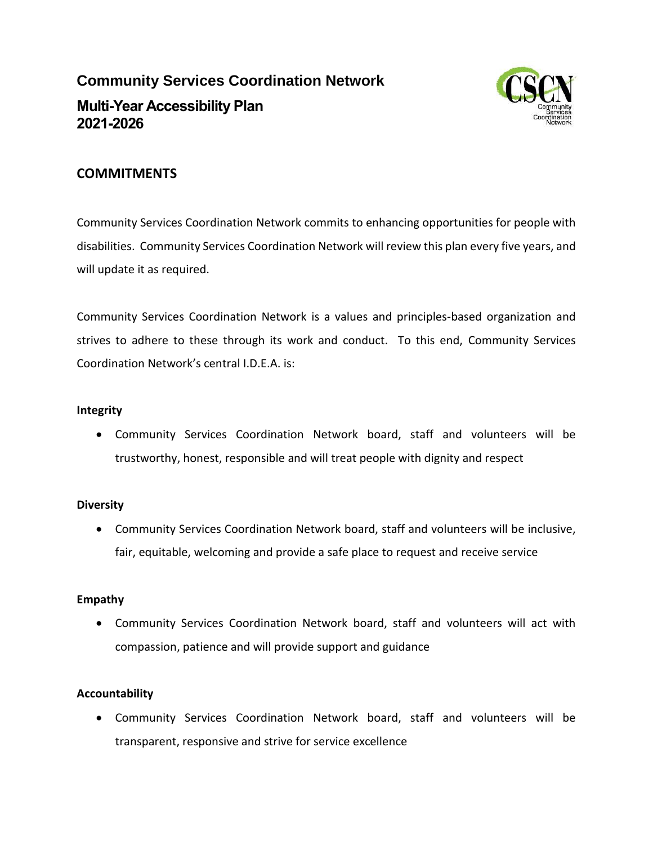# **Community Services Coordination Network Multi-Year Accessibility Plan 2021-2026**



### **COMMITMENTS**

Community Services Coordination Network commits to enhancing opportunities for people with disabilities. Community Services Coordination Network will review this plan every five years, and will update it as required.

Community Services Coordination Network is a values and principles-based organization and strives to adhere to these through its work and conduct. To this end, Community Services Coordination Network's central I.D.E.A. is:

#### **Integrity**

 Community Services Coordination Network board, staff and volunteers will be trustworthy, honest, responsible and will treat people with dignity and respect

#### **Diversity**

 Community Services Coordination Network board, staff and volunteers will be inclusive, fair, equitable, welcoming and provide a safe place to request and receive service

#### **Empathy**

 Community Services Coordination Network board, staff and volunteers will act with compassion, patience and will provide support and guidance

#### **Accountability**

 Community Services Coordination Network board, staff and volunteers will be transparent, responsive and strive for service excellence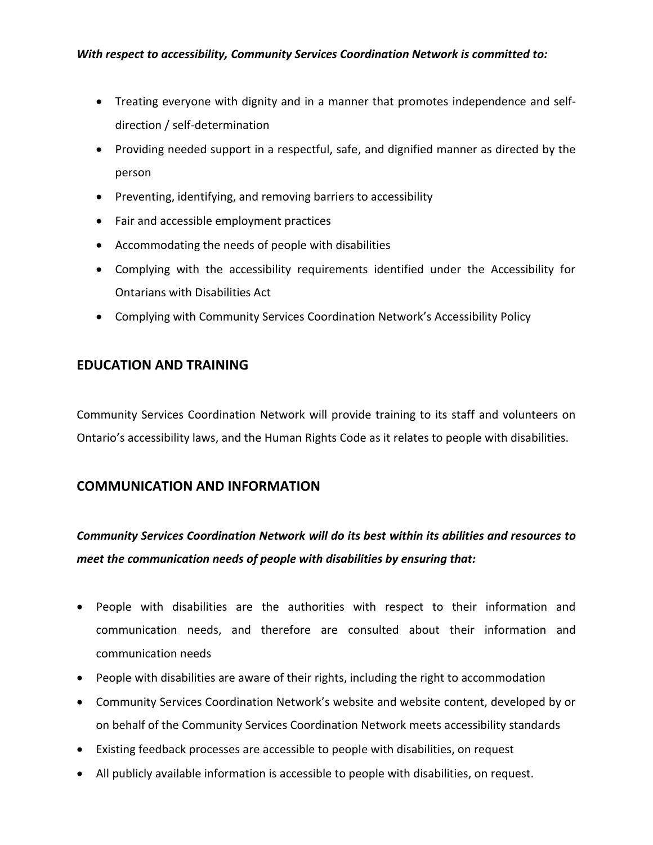- Treating everyone with dignity and in a manner that promotes independence and selfdirection / self-determination
- Providing needed support in a respectful, safe, and dignified manner as directed by the person
- Preventing, identifying, and removing barriers to accessibility
- Fair and accessible employment practices
- Accommodating the needs of people with disabilities
- Complying with the accessibility requirements identified under the Accessibility for Ontarians with Disabilities Act
- Complying with Community Services Coordination Network's Accessibility Policy

#### **EDUCATION AND TRAINING**

Community Services Coordination Network will provide training to its staff and volunteers on Ontario's accessibility laws, and the Human Rights Code as it relates to people with disabilities.

#### **COMMUNICATION AND INFORMATION**

## *Community Services Coordination Network will do its best within its abilities and resources to meet the communication needs of people with disabilities by ensuring that:*

- People with disabilities are the authorities with respect to their information and communication needs, and therefore are consulted about their information and communication needs
- People with disabilities are aware of their rights, including the right to accommodation
- Community Services Coordination Network's website and website content, developed by or on behalf of the Community Services Coordination Network meets accessibility standards
- Existing feedback processes are accessible to people with disabilities, on request
- All publicly available information is accessible to people with disabilities, on request.